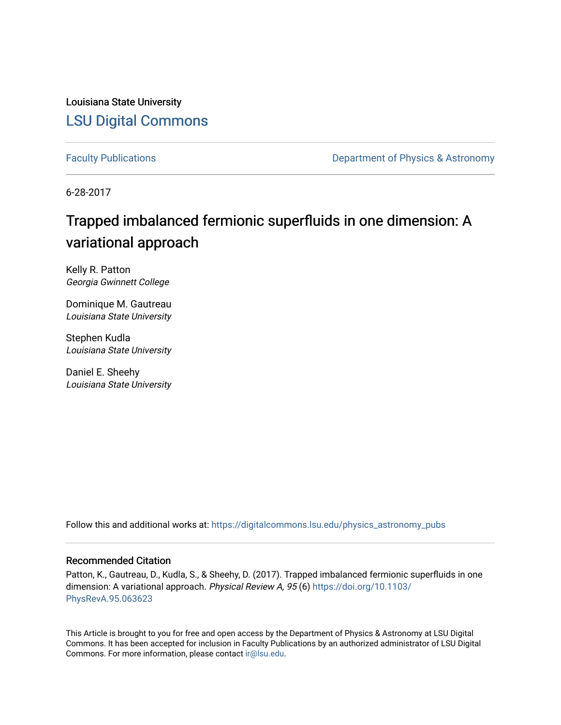Louisiana State University [LSU Digital Commons](https://digitalcommons.lsu.edu/)

[Faculty Publications](https://digitalcommons.lsu.edu/physics_astronomy_pubs) **Exercise 2 and Table 2 and Table 2 and Table 2 and Table 2 and Table 2 and Table 2 and Table 2 and Table 2 and Table 2 and Table 2 and Table 2 and Table 2 and Table 2 and Table 2 and Table 2 and Table** 

6-28-2017

## Trapped imbalanced fermionic superfluids in one dimension: A variational approach

Kelly R. Patton Georgia Gwinnett College

Dominique M. Gautreau Louisiana State University

Stephen Kudla Louisiana State University

Daniel E. Sheehy Louisiana State University

Follow this and additional works at: [https://digitalcommons.lsu.edu/physics\\_astronomy\\_pubs](https://digitalcommons.lsu.edu/physics_astronomy_pubs?utm_source=digitalcommons.lsu.edu%2Fphysics_astronomy_pubs%2F4976&utm_medium=PDF&utm_campaign=PDFCoverPages) 

### Recommended Citation

Patton, K., Gautreau, D., Kudla, S., & Sheehy, D. (2017). Trapped imbalanced fermionic superfluids in one dimension: A variational approach. Physical Review A, 95 (6) [https://doi.org/10.1103/](https://doi.org/10.1103/PhysRevA.95.063623) [PhysRevA.95.063623](https://doi.org/10.1103/PhysRevA.95.063623) 

This Article is brought to you for free and open access by the Department of Physics & Astronomy at LSU Digital Commons. It has been accepted for inclusion in Faculty Publications by an authorized administrator of LSU Digital Commons. For more information, please contact [ir@lsu.edu](mailto:ir@lsu.edu).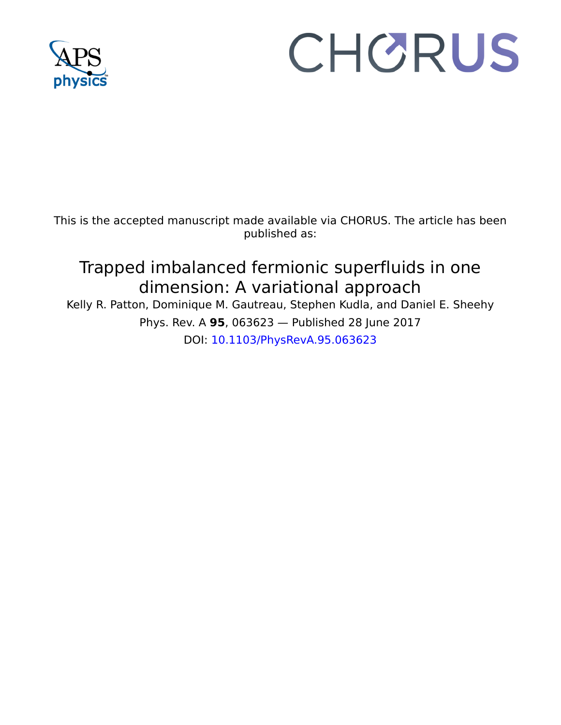

# CHORUS

This is the accepted manuscript made available via CHORUS. The article has been published as:

# Trapped imbalanced fermionic superfluids in one dimension: A variational approach

Kelly R. Patton, Dominique M. Gautreau, Stephen Kudla, and Daniel E. Sheehy Phys. Rev. A **95**, 063623 — Published 28 June 2017 DOI: [10.1103/PhysRevA.95.063623](http://dx.doi.org/10.1103/PhysRevA.95.063623)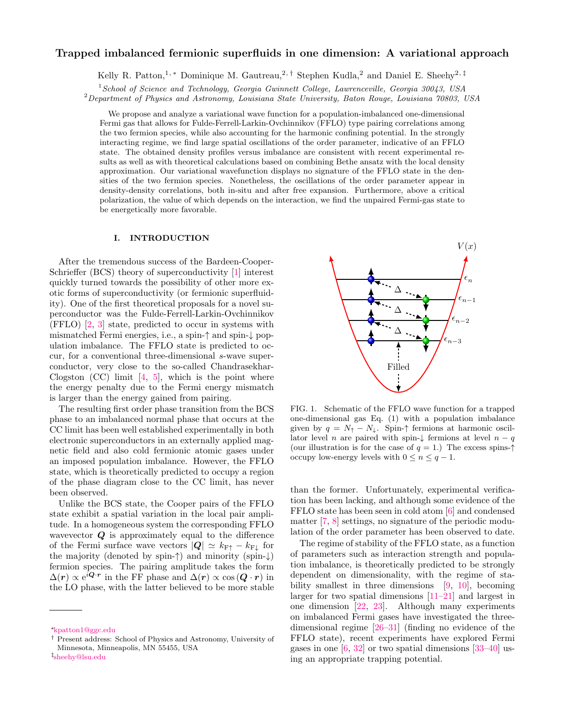#### Trapped imbalanced fermionic superfluids in one dimension: A variational approach

Kelly R. Patton,<sup>1,\*</sup> Dominique M. Gautreau,<sup>2,[†](#page-2-1)</sup> Stephen Kudla,<sup>2</sup> and Daniel E. Sheehy<sup>2,[‡](#page-2-2)</sup>

<sup>1</sup>School of Science and Technology, Georgia Gwinnett College, Lawrenceville, Georgia 30043, USA

 ${}^{2}$ Department of Physics and Astronomy, Louisiana State University, Baton Rouge, Louisiana 70803, USA

We propose and analyze a variational wave function for a population-imbalanced one-dimensional Fermi gas that allows for Fulde-Ferrell-Larkin-Ovchinnikov (FFLO) type pairing correlations among the two fermion species, while also accounting for the harmonic confining potential. In the strongly interacting regime, we find large spatial oscillations of the order parameter, indicative of an FFLO state. The obtained density profiles versus imbalance are consistent with recent experimental results as well as with theoretical calculations based on combining Bethe ansatz with the local density approximation. Our variational wavefunction displays no signature of the FFLO state in the densities of the two fermion species. Nonetheless, the oscillations of the order parameter appear in density-density correlations, both in-situ and after free expansion. Furthermore, above a critical polarization, the value of which depends on the interaction, we find the unpaired Fermi-gas state to be energetically more favorable.

#### I. INTRODUCTION

After the tremendous success of the Bardeen-Cooper-Schrieffer (BCS) theory of superconductivity [\[1\]](#page-10-0) interest quickly turned towards the possibility of other more exotic forms of superconductivity (or fermionic superfluidity). One of the first theoretical proposals for a novel superconductor was the Fulde-Ferrell-Larkin-Ovchinnikov (FFLO) [\[2,](#page-10-1) [3\]](#page-10-2) state, predicted to occur in systems with mismatched Fermi energies, i.e., a spin-↑ and spin-↓ population imbalance. The FFLO state is predicted to occur, for a conventional three-dimensional s-wave superconductor, very close to the so-called Chandrasekhar-Clogston  $(CC)$  limit  $[4, 5]$  $[4, 5]$ , which is the point where the energy penalty due to the Fermi energy mismatch is larger than the energy gained from pairing.

The resulting first order phase transition from the BCS phase to an imbalanced normal phase that occurs at the CC limit has been well established experimentally in both electronic superconductors in an externally applied magnetic field and also cold fermionic atomic gases under an imposed population imbalance. However, the FFLO state, which is theoretically predicted to occupy a region of the phase diagram close to the CC limit, has never been observed.

Unlike the BCS state, the Cooper pairs of the FFLO state exhibit a spatial variation in the local pair amplitude. In a homogeneous system the corresponding FFLO wavevector  $Q$  is approximately equal to the difference of the Fermi surface wave vectors  $|Q| \simeq k_{\text{F}+} - k_{\text{F}\perp}$  for the majority (denoted by spin- $\dagger$ ) and minority (spin- $\downarrow$ ) fermion species. The pairing amplitude takes the form  $\Delta(r) \propto e^{i\mathbf{Q} \cdot \mathbf{r}}$  in the FF phase and  $\Delta(r) \propto \cos(\mathbf{Q} \cdot \mathbf{r})$  in the LO phase, with the latter believed to be more stable



<span id="page-2-3"></span>FIG. 1. Schematic of the FFLO wave function for a trapped one-dimensional gas Eq. [\(1\)](#page-3-0) with a population imbalance given by  $q = N_{\uparrow} - N_{\downarrow}$ . Spin- $\uparrow$  fermions at harmonic oscillator level n are paired with spin- $\downarrow$  fermions at level  $n - q$ (our illustration is for the case of  $q = 1$ .) The excess spins- $\uparrow$ occupy low-energy levels with  $0 \leq n \leq q-1$ .

than the former. Unfortunately, experimental verification has been lacking, and although some evidence of the FFLO state has been seen in cold atom [\[6\]](#page-10-5) and condensed matter [\[7,](#page-10-6) [8\]](#page-10-7) settings, no signature of the periodic modulation of the order parameter has been observed to date.

The regime of stability of the FFLO state, as a function of parameters such as interaction strength and population imbalance, is theoretically predicted to be strongly dependent on dimensionality, with the regime of stability smallest in three dimensions [\[9,](#page-10-8) [10\]](#page-10-9), becoming larger for two spatial dimensions [\[11–](#page-10-10)[21\]](#page-11-0) and largest in one dimension [\[22,](#page-11-1) [23\]](#page-11-2). Although many experiments on imbalanced Fermi gases have investigated the threedimensional regime [\[26–](#page-11-3)[31\]](#page-11-4) (finding no evidence of the FFLO state), recent experiments have explored Fermi gases in one  $[6, 32]$  $[6, 32]$  or two spatial dimensions  $[33-40]$  using an appropriate trapping potential.

<span id="page-2-0"></span><sup>∗</sup>[kpatton1@ggc.edu](mailto:kpatton1@ggc.edu)

<span id="page-2-1"></span><sup>†</sup> Present address: School of Physics and Astronomy, University of Minnesota, Minneapolis, MN 55455, USA

<span id="page-2-2"></span><sup>‡</sup> [sheehy@lsu.edu](mailto:sheehy@lsu.edu)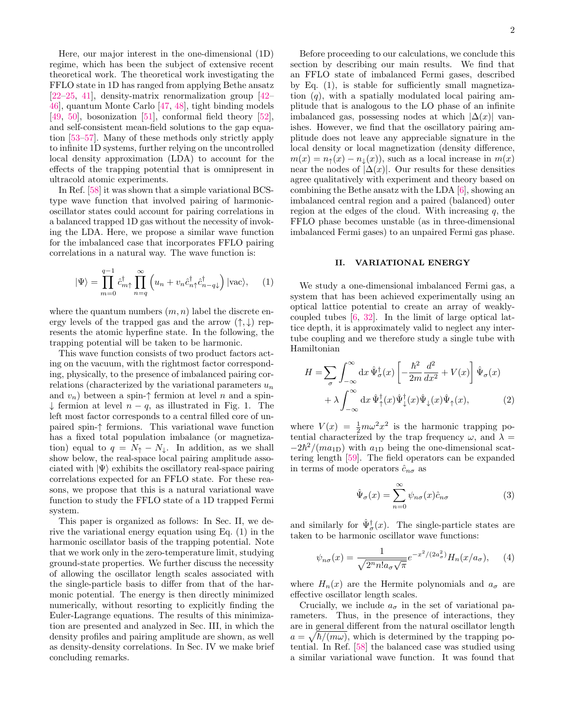Here, our major interest in the one-dimensional (1D) regime, which has been the subject of extensive recent theoretical work. The theoretical work investigating the FFLO state in 1D has ranged from applying Bethe ansatz  $[22-25, 41]$  $[22-25, 41]$  $[22-25, 41]$  $[22-25, 41]$ , density-matrix renormalization group  $[42-$ [46\]](#page-11-11), quantum Monte Carlo [\[47,](#page-11-12) [48\]](#page-11-13), tight binding models [\[49,](#page-11-14) [50\]](#page-11-15), bosonization [\[51\]](#page-11-16), conformal field theory [\[52\]](#page-11-17), and self-consistent mean-field solutions to the gap equation [\[53](#page-11-18)[–57\]](#page-11-19). Many of these methods only strictly apply to infinite 1D systems, further relying on the uncontrolled local density approximation (LDA) to account for the effects of the trapping potential that is omnipresent in ultracold atomic experiments.

In Ref. [\[58\]](#page-11-20) it was shown that a simple variational BCStype wave function that involved pairing of harmonicoscillator states could account for pairing correlations in a balanced trapped 1D gas without the necessity of invoking the LDA. Here, we propose a similar wave function for the imbalanced case that incorporates FFLO pairing correlations in a natural way. The wave function is:

<span id="page-3-0"></span>
$$
|\Psi\rangle = \prod_{m=0}^{q-1} \hat{c}_{m\uparrow}^{\dagger} \prod_{n=q}^{\infty} \left( u_n + v_n \hat{c}_{n\uparrow}^{\dagger} \hat{c}_{n-q\downarrow}^{\dagger} \right) |\text{vac}\rangle, \quad (1)
$$

where the quantum numbers  $(m, n)$  label the discrete energy levels of the trapped gas and the arrow  $(\uparrow, \downarrow)$  represents the atomic hyperfine state. In the following, the trapping potential will be taken to be harmonic.

This wave function consists of two product factors acting on the vacuum, with the rightmost factor corresponding, physically, to the presence of imbalanced pairing correlations (characterized by the variational parameters  $u_n$ and  $v_n$ ) between a spin- $\uparrow$  fermion at level n and a spin-↓ fermion at level n − q, as illustrated in Fig. [1.](#page-2-3) The left most factor corresponds to a central filled core of unpaired spin-↑ fermions. This variational wave function has a fixed total population imbalance (or magnetization) equal to  $q = N_{\uparrow} - N_{\downarrow}$ . In addition, as we shall show below, the real-space local pairing amplitude associated with  $|\Psi\rangle$  exhibits the oscillatory real-space pairing correlations expected for an FFLO state. For these reasons, we propose that this is a natural variational wave function to study the FFLO state of a 1D trapped Fermi system.

This paper is organized as follows: In Sec. [II,](#page-3-1) we derive the variational energy equation using Eq. [\(1\)](#page-3-0) in the harmonic oscillator basis of the trapping potential. Note that we work only in the zero-temperature limit, studying ground-state properties. We further discuss the necessity of allowing the oscillator length scales associated with the single-particle basis to differ from that of the harmonic potential. The energy is then directly minimized numerically, without resorting to explicitly finding the Euler-Lagrange equations. The results of this minimization are presented and analyzed in Sec. [III,](#page-5-0) in which the density profiles and pairing amplitude are shown, as well as density-density correlations. In Sec. [IV](#page-8-0) we make brief concluding remarks.

Before proceeding to our calculations, we conclude this section by describing our main results. We find that an FFLO state of imbalanced Fermi gases, described by Eq. [\(1\)](#page-3-0), is stable for sufficiently small magnetization  $(q)$ , with a spatially modulated local pairing amplitude that is analogous to the LO phase of an infinite imbalanced gas, possessing nodes at which  $|\Delta(x)|$  vanishes. However, we find that the oscillatory pairing amplitude does not leave any appreciable signature in the local density or local magnetization (density difference,  $m(x) = n<sub>†</sub>(x) - n<sub>⊥</sub>(x)$ , such as a local increase in  $m(x)$ near the nodes of  $|\Delta(x)|$ . Our results for these densities agree qualitatively with experiment and theory based on combining the Bethe ansatz with the LDA [\[6\]](#page-10-5), showing an imbalanced central region and a paired (balanced) outer region at the edges of the cloud. With increasing  $q$ , the FFLO phase becomes unstable (as in three-dimensional imbalanced Fermi gases) to an unpaired Fermi gas phase.

#### <span id="page-3-1"></span>II. VARIATIONAL ENERGY

We study a one-dimensional imbalanced Fermi gas, a system that has been achieved experimentally using an optical lattice potential to create an array of weaklycoupled tubes [\[6,](#page-10-5) [32\]](#page-11-5). In the limit of large optical lattice depth, it is approximately valid to neglect any intertube coupling and we therefore study a single tube with Hamiltonian

$$
H = \sum_{\sigma} \int_{-\infty}^{\infty} dx \, \hat{\Psi}_{\sigma}^{\dagger}(x) \left[ -\frac{\hbar^2}{2m} \frac{d^2}{dx^2} + V(x) \right] \hat{\Psi}_{\sigma}(x) + \lambda \int_{-\infty}^{\infty} dx \, \hat{\Psi}_{\uparrow}^{\dagger}(x) \hat{\Psi}_{\downarrow}^{\dagger}(x) \hat{\Psi}_{\downarrow}(x) \hat{\Psi}_{\uparrow}(x), \tag{2}
$$

where  $V(x) = \frac{1}{2}m\omega^2 x^2$  is the harmonic trapping potential characterized by the trap frequency  $\omega$ , and  $\lambda =$  $-2\hbar^2/(ma_{1D})$  with  $a_{1D}$  being the one-dimensional scattering length [\[59\]](#page-11-21). The field operators can be expanded in terms of mode operators  $\hat{c}_{n\sigma}$  as

<span id="page-3-3"></span>
$$
\hat{\Psi}_{\sigma}(x) = \sum_{n=0}^{\infty} \psi_{n\sigma}(x)\hat{c}_{n\sigma}
$$
\n(3)

and similarly for  $\hat{\Psi}_{\sigma}^{\dagger}(x)$ . The single-particle states are taken to be harmonic oscillator wave functions:

<span id="page-3-2"></span>
$$
\psi_{n\sigma}(x) = \frac{1}{\sqrt{2^n n! a_{\sigma}\sqrt{\pi}}} e^{-x^2/(2a_{\sigma}^2)} H_n(x/a_{\sigma}), \quad (4)
$$

where  $H_n(x)$  are the Hermite polynomials and  $a_{\sigma}$  are effective oscillator length scales.

Crucially, we include  $a_{\sigma}$  in the set of variational parameters. Thus, in the presence of interactions, they are in general different from the natural oscillator length  $a = \sqrt{\hbar/(m\omega)}$ , which is determined by the trapping potential. In Ref. [\[58\]](#page-11-20) the balanced case was studied using a similar variational wave function. It was found that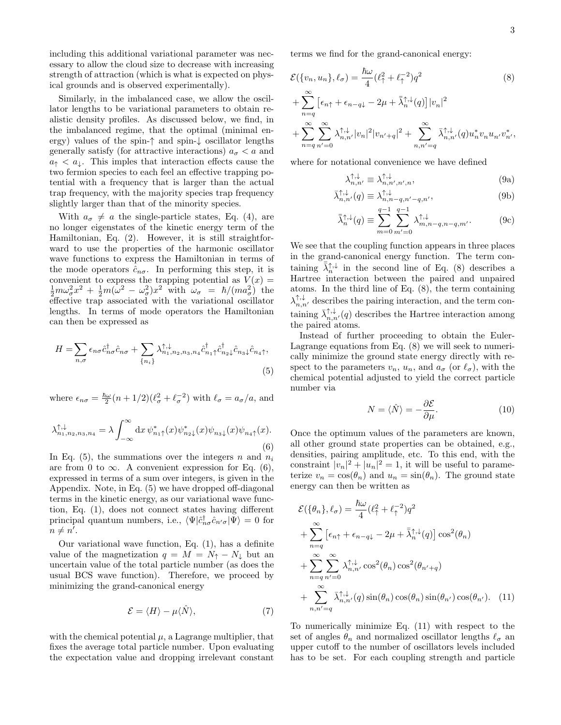including this additional variational parameter was necessary to allow the cloud size to decrease with increasing strength of attraction (which is what is expected on physical grounds and is observed experimentally).

Similarly, in the imbalanced case, we allow the oscillator lengths to be variational parameters to obtain realistic density profiles. As discussed below, we find, in the imbalanced regime, that the optimal (minimal energy) values of the spin-↑ and spin-↓ oscillator lengths generally satisfy (for attractive interactions)  $a_{\sigma} < a$  and  $a_{\uparrow} < a_{\downarrow}$ . This imples that interaction effects cause the two fermion species to each feel an effective trapping potential with a frequency that is larger than the actual trap frequency, with the majority species trap frequency slightly larger than that of the minority species.

With  $a_{\sigma} \neq a$  the single-particle states, Eq. [\(4\)](#page-3-2), are no longer eigenstates of the kinetic energy term of the Hamiltonian, Eq. [\(2\)](#page-3-3). However, it is still straightforward to use the properties of the harmonic oscillator wave functions to express the Hamiltonian in terms of the mode operators  $\hat{c}_{n\sigma}$ . In performing this step, it is convenient to express the trapping potential as  $V(x) = \frac{1}{2} m \omega_{\sigma}^2 x^2 + \frac{1}{2} m (\omega^2 - \omega_{\sigma}^2) x^2$  with  $\omega_{\sigma} = \hbar / (m a_{\sigma}^2)$  the effective trap associated with the variational oscillator lengths. In terms of mode operators the Hamiltonian can then be expressed as

$$
H = \sum_{n,\sigma} \epsilon_{n\sigma} \hat{c}_{n\sigma}^{\dagger} \hat{c}_{n\sigma} + \sum_{\{n_i\}} \lambda_{n_1, n_2, n_3, n_4}^{\uparrow, \downarrow} \hat{c}_{n_1 \uparrow}^{\dagger} \hat{c}_{n_2 \downarrow}^{\dagger} \hat{c}_{n_3 \downarrow} \hat{c}_{n_4 \uparrow},
$$
\n(5)

where  $\epsilon_{n\sigma} = \frac{\hbar\omega}{2}(n+1/2)(\ell_{\sigma}^2 + \ell_{\sigma}^{-2})$  with  $\ell_{\sigma} = a_{\sigma}/a$ , and

<span id="page-4-1"></span>
$$
\lambda^{\uparrow,\downarrow}_{n_1,n_2,n_3,n_4} = \lambda \int_{-\infty}^{\infty} \mathrm{d}x \, \psi^*_{n_1\uparrow}(x) \psi^*_{n_2\downarrow}(x) \psi_{n_3\downarrow}(x) \psi_{n_4\uparrow}(x). \tag{6}
$$

In Eq. [\(5\)](#page-4-0), the summations over the integers n and  $n_i$ are from 0 to  $\infty$ . A convenient expression for Eq. [\(6\)](#page-4-1), expressed in terms of a sum over integers, is given in the Appendix. Note, in Eq. [\(5\)](#page-4-0) we have dropped off-diagonal terms in the kinetic energy, as our variational wave function, Eq. [\(1\)](#page-3-0), does not connect states having different principal quantum numbers, i.e.,  $\langle \Psi | \hat{c}_{n\sigma}^{\dagger} \hat{c}_{n'\sigma} | \Psi \rangle = 0$  for  $n \neq n'.$ 

Our variational wave function, Eq. [\(1\)](#page-3-0), has a definite value of the magnetization  $q = M = N_{\uparrow} - N_{\downarrow}$  but an uncertain value of the total particle number (as does the usual BCS wave function). Therefore, we proceed by minimizing the grand-canonical energy

$$
\mathcal{E} = \langle H \rangle - \mu \langle \hat{N} \rangle, \tag{7}
$$

with the chemical potential  $\mu$ , a Lagrange multiplier, that fixes the average total particle number. Upon evaluating the expectation value and dropping irrelevant constant

terms we find for the grand-canonical energy:

$$
\mathcal{E}(\{v_n, u_n\}, \ell_\sigma) = \frac{\hbar \omega}{4} (\ell_\uparrow^2 + \ell_\uparrow^{-2}) q^2
$$
(8)  
+ 
$$
\sum_{n=q}^{\infty} \left[ \epsilon_{n\uparrow} + \epsilon_{n-q\downarrow} - 2\mu + \bar{\lambda}_n^{\uparrow, \downarrow}(q) \right] |v_n|^2
$$
  
+ 
$$
\sum_{n=q}^{\infty} \sum_{n'=0}^{\infty} \lambda_{n,n'}^{\uparrow, \downarrow}(v_n|^2 |v_{n'+q}|^2 + \sum_{n,n'=q}^{\infty} \bar{\lambda}_{n,n'}^{\uparrow, \downarrow}(q) u_n^* v_n u_{n'} v_{n'}^*,
$$

where for notational convenience we have defined

<span id="page-4-4"></span><span id="page-4-2"></span>
$$
\lambda_{n,n'}^{\uparrow,\downarrow} \equiv \lambda_{n,n',n',n}^{\uparrow,\downarrow},\tag{9a}
$$

$$
\bar{\lambda}_{n,n'}^{\uparrow,\downarrow}(q) \equiv \lambda_{n,n-q,n'-q,n'}^{\uparrow,\downarrow},\tag{9b}
$$

$$
\bar{\bar{\lambda}}_{n}^{\uparrow,\downarrow}(q) \equiv \sum_{m=0}^{q-1} \sum_{m'=0}^{q-1} \lambda_{m,n-q,n-q,m'}^{\uparrow,\downarrow}.
$$
 (9c)

We see that the coupling function appears in three places in the grand-canonical energy function. The term containing  $\overline{\lambda}_n^{\uparrow,\downarrow}$  in the second line of Eq. [\(8\)](#page-4-2) describes a Hartree interaction between the paired and unpaired atoms. In the third line of Eq. [\(8\)](#page-4-2), the term containing  $\lambda_{n,n'}^{\uparrow,\downarrow}$  describes the pairing interaction, and the term containing  $\bar{\lambda}_{n,n'}^{\uparrow,\downarrow}(q)$  describes the Hartree interaction among the paired atoms.

<span id="page-4-0"></span>Instead of further proceeding to obtain the Euler-Lagrange equations from Eq. [\(8\)](#page-4-2) we will seek to numerically minimize the ground state energy directly with respect to the parameters  $v_n$ ,  $u_n$ , and  $a_\sigma$  (or  $\ell_\sigma$ ), with the chemical potential adjusted to yield the correct particle number via

$$
N = \langle \hat{N} \rangle = -\frac{\partial \mathcal{E}}{\partial \mu}.
$$
 (10)

Once the optimum values of the parameters are known, all other ground state properties can be obtained, e.g., densities, pairing amplitude, etc. To this end, with the constraint  $|v_n|^2 + |u_n|^2 = 1$ , it will be useful to parameterize  $v_n = \cos(\theta_n)$  and  $u_n = \sin(\theta_n)$ . The ground state energy can then be written as

$$
\mathcal{E}(\{\theta_n\}, \ell_{\sigma}) = \frac{\hbar \omega}{4} (\ell_{\uparrow}^2 + \ell_{\uparrow}^{-2}) q^2
$$
  
+ 
$$
\sum_{n=q}^{\infty} \left[ \epsilon_{n\uparrow} + \epsilon_{n-q\downarrow} - 2\mu + \bar{\lambda}_{n}^{\uparrow, \downarrow}(q) \right] \cos^2(\theta_n)
$$
  
+ 
$$
\sum_{n=q}^{\infty} \sum_{n'=0}^{\infty} \lambda_{n,n'}^{\uparrow, \downarrow} \cos^2(\theta_n) \cos^2(\theta_{n'+q})
$$
  
+ 
$$
\sum_{n,n'=q}^{\infty} \bar{\lambda}_{n,n'}^{\uparrow, \downarrow}(q) \sin(\theta_n) \cos(\theta_n) \sin(\theta_{n'}) \cos(\theta_{n'}).
$$
 (11)

<span id="page-4-3"></span>To numerically minimize Eq. [\(11\)](#page-4-3) with respect to the set of angles  $\theta_n$  and normalized oscillator lengths  $\ell_{\sigma}$  and upper cutoff to the number of oscillators levels included has to be set. For each coupling strength and particle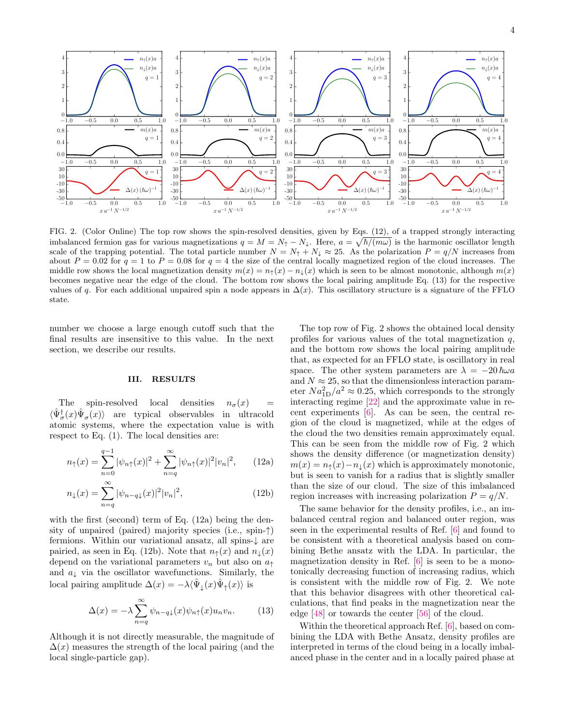

<span id="page-5-5"></span>FIG. 2. (Color Online) The top row shows the spin-resolved densities, given by Eqs. [\(12\)](#page-5-1), of a trapped strongly interacting imbalanced fermion gas for various magnetizations  $q = M = N_{\uparrow} - N_{\downarrow}$ . Here,  $a = \sqrt{\hbar/(m\omega)}$  is the harmonic oscillator length scale of the trapping potential. The total particle number  $N = N_{\uparrow} + N_{\downarrow} \approx 25$ . As the polarization  $P = q/N$  increases from about  $P = 0.02$  for  $q = 1$  to  $P = 0.08$  for  $q = 4$  the size of the central locally magnetized region of the cloud increases. The middle row shows the local magnetization density  $m(x) = n_1(x) - n_1(x)$  which is seen to be almost monotonic, although  $m(x)$ becomes negative near the edge of the cloud. The bottom row shows the local pairing amplitude Eq. [\(13\)](#page-5-2) for the respective values of q. For each additional unpaired spin a node appears in  $\Delta(x)$ . This oscillatory structure is a signature of the FFLO state.

number we choose a large enough cutoff such that the final results are insensitive to this value. In the next section, we describe our results.

#### <span id="page-5-0"></span>III. RESULTS

The spin-resolved local densities  $n_{\sigma}(x)$  =  $\langle \hat{\Psi}_{\sigma}^{\dagger}(x) \hat{\Psi}_{\sigma}(x) \rangle$  are typical observables in ultracold atomic systems, where the expectation value is with respect to Eq. [\(1\)](#page-3-0). The local densities are:

$$
n_{\uparrow}(x) = \sum_{n=0}^{q-1} |\psi_{n\uparrow}(x)|^2 + \sum_{n=q}^{\infty} |\psi_{n\uparrow}(x)|^2 |v_n|^2, \qquad (12a)
$$

$$
n_{\downarrow}(x) = \sum_{n=q}^{\infty} |\psi_{n-q\downarrow}(x)|^2 |v_n|^2,
$$
\n(12b)

with the first (second) term of Eq. [\(12a\)](#page-5-3) being the density of unpaired (paired) majority species (i.e., spin-↑) fermions. Within our variational ansatz, all spins-↓ are pairied, as seen in Eq. [\(12b\)](#page-5-4). Note that  $n_{\uparrow}(x)$  and  $n_{\downarrow}(x)$ depend on the variational parameters  $v_n$  but also on  $a_{\uparrow}$ and  $a_{\downarrow}$  via the oscillator wavefunctions. Similarly, the local pairing amplitude  $\Delta(x) = -\lambda \langle \hat{\Psi}_\downarrow(x) \hat{\Psi}_\uparrow(x) \rangle$  is

<span id="page-5-2"></span>
$$
\Delta(x) = -\lambda \sum_{n=q}^{\infty} \psi_{n-q\downarrow}(x) \psi_{n\uparrow}(x) u_n v_n.
$$
 (13)

Although it is not directly measurable, the magnitude of  $\Delta(x)$  measures the strength of the local pairing (and the local single-particle gap).

The top row of Fig. [2](#page-5-5) shows the obtained local density profiles for various values of the total magnetization  $q$ , and the bottom row shows the local pairing amplitude that, as expected for an FFLO state, is oscillatory in real space. The other system parameters are  $\lambda = -20 \hbar \omega a$ and  $N \approx 25$ , so that the dimensionless interaction parameter  $Na_{1D}^2/a^2 \approx 0.25$ , which corresponds to the strongly interacting regime [\[22\]](#page-11-1) and the approximate value in recent experiments [\[6\]](#page-10-5). As can be seen, the central region of the cloud is magnetized, while at the edges of the cloud the two densities remain approximately equal. This can be seen from the middle row of Fig. [2](#page-5-5) which shows the density difference (or magnetization density)  $m(x) = n_{\uparrow}(x) - n_{\downarrow}(x)$  which is approximately monotonic, but is seen to vanish for a radius that is slightly smaller than the size of our cloud. The size of this imbalanced region increases with increasing polarization  $P = q/N$ .

<span id="page-5-4"></span><span id="page-5-3"></span><span id="page-5-1"></span>The same behavior for the density profiles, i.e., an imbalanced central region and balanced outer region, was seen in the experimental results of Ref. [\[6\]](#page-10-5) and found to be consistent with a theoretical analysis based on combining Bethe ansatz with the LDA. In particular, the magnetization density in Ref. [\[6\]](#page-10-5) is seen to be a monotonically decreasing function of increasing radius, which is consistent with the middle row of Fig. [2.](#page-5-5) We note that this behavior disagrees with other theoretical calculations, that find peaks in the magnetization near the edge [\[48\]](#page-11-13) or towards the center [\[56\]](#page-11-22) of the cloud.

Within the theoretical approach Ref. [\[6\]](#page-10-5), based on combining the LDA with Bethe Ansatz, density profiles are interpreted in terms of the cloud being in a locally imbalanced phase in the center and in a locally paired phase at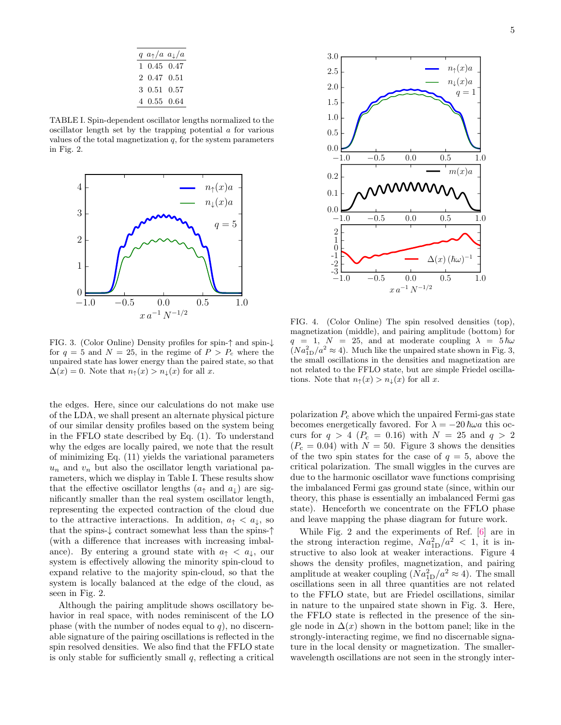| $q \ a_{\uparrow}/a \ a_{\downarrow}/a$ |  |
|-----------------------------------------|--|
| 1 0.45 0.47                             |  |
| 2 0.47 0.51                             |  |
| 3 0.51 0.57                             |  |
| 4 0.55 0.64                             |  |

<span id="page-6-0"></span>TABLE I. Spin-dependent oscillator lengths normalized to the oscillator length set by the trapping potential a for various values of the total magnetization  $q$ , for the system parameters in Fig. [2.](#page-5-5)



<span id="page-6-1"></span>FIG. 3. (Color Online) Density profiles for spin-↑ and spin-↓ for  $q = 5$  and  $N = 25$ , in the regime of  $P > P_c$  where the unpaired state has lower energy than the paired state, so that  $\Delta(x) = 0$ . Note that  $n_{\uparrow}(x) > n_{\downarrow}(x)$  for all x.

the edges. Here, since our calculations do not make use of the LDA, we shall present an alternate physical picture of our similar density profiles based on the system being in the FFLO state described by Eq. [\(1\)](#page-3-0). To understand why the edges are locally paired, we note that the result of minimizing Eq. [\(11\)](#page-4-3) yields the variational parameters  $u_n$  and  $v_n$  but also the oscillator length variational parameters, which we display in Table [I.](#page-6-0) These results show that the effective oscillator lengths  $(a<sub>†</sub>$  and  $a<sub>⊥</sub>$ ) are significantly smaller than the real system oscillator length, representing the expected contraction of the cloud due to the attractive interactions. In addition,  $a_{\uparrow} < a_{\downarrow}$ , so that the spins-↓ contract somewhat less than the spins-↑ (with a difference that increases with increasing imbalance). By entering a ground state with  $a_{\uparrow} < a_{\downarrow}$ , our system is effectively allowing the minority spin-cloud to expand relative to the majority spin-cloud, so that the system is locally balanced at the edge of the cloud, as seen in Fig. [2.](#page-5-5)

Although the pairing amplitude shows oscillatory behavior in real space, with nodes reminiscent of the LO phase (with the number of nodes equal to  $q$ ), no discernable signature of the pairing oscillations is reflected in the spin resolved densities. We also find that the FFLO state is only stable for sufficiently small  $q$ , reflecting a critical



<span id="page-6-2"></span>FIG. 4. (Color Online) The spin resolved densities (top), magnetization (middle), and pairing amplitude (bottom) for  $q = 1, N = 25, \text{ and at moderate coupling } \lambda = 5 \hbar \omega$  $(Na_{1D}^2/a^2 \approx 4)$ . Much like the unpaired state shown in Fig. [3,](#page-6-1) the small oscillations in the densities and magnetization are not related to the FFLO state, but are simple Friedel oscillations. Note that  $n_{\uparrow}(x) > n_{\downarrow}(x)$  for all x.

polarization  $P_c$  above which the unpaired Fermi-gas state becomes energetically favored. For  $\lambda = -20 \hbar \omega a$  this occurs for  $q > 4$  ( $P_c = 0.16$ ) with  $N = 25$  and  $q > 2$  $(P_c = 0.04)$  with  $N = 50$ . Figure [3](#page-6-1) shows the densities of the two spin states for the case of  $q = 5$ , above the critical polarization. The small wiggles in the curves are due to the harmonic oscillator wave functions comprising the imbalanced Fermi gas ground state (since, within our theory, this phase is essentially an imbalanced Fermi gas state). Henceforth we concentrate on the FFLO phase and leave mapping the phase diagram for future work.

While Fig. [2](#page-5-5) and the experiments of Ref. [\[6\]](#page-10-5) are in the strong interaction regime,  $Na_{1D}^2/a^2 < 1$ , it is instructive to also look at weaker interactions. Figure [4](#page-6-2) shows the density profiles, magnetization, and pairing amplitude at weaker coupling  $(N a_{1D}^2/a^2 \approx 4)$ . The small oscillations seen in all three quantities are not related to the FFLO state, but are Friedel oscillations, similar in nature to the unpaired state shown in Fig. [3.](#page-6-1) Here, the FFLO state is reflected in the presence of the single node in  $\Delta(x)$  shown in the bottom panel; like in the strongly-interacting regime, we find no discernable signature in the local density or magnetization. The smallerwavelength oscillations are not seen in the strongly inter-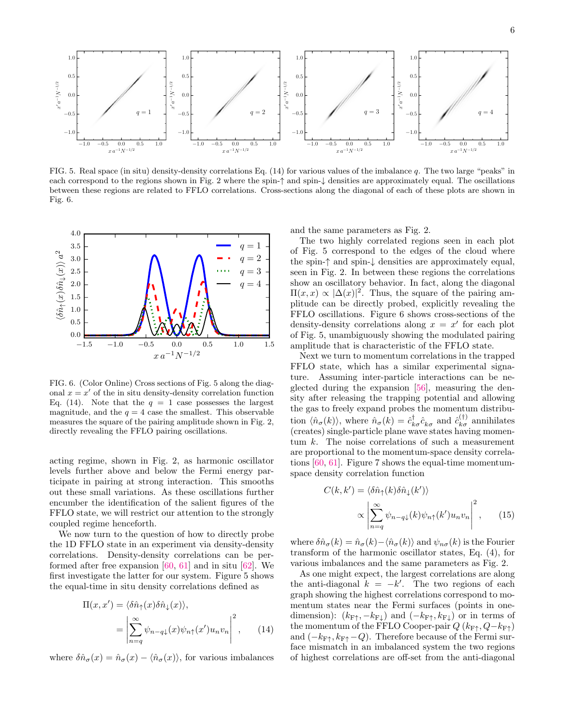

<span id="page-7-2"></span>FIG. 5. Real space (in situ) density-density correlations Eq. [\(14\)](#page-7-0) for various values of the imbalance q. The two large "peaks" in each correspond to the regions shown in Fig. [2](#page-5-5) where the spin-↑ and spin-↓ densities are approximately equal. The oscillations between these regions are related to FFLO correlations. Cross-sections along the diagonal of each of these plots are shown in Fig. [6.](#page-7-1)



<span id="page-7-1"></span>FIG. 6. (Color Online) Cross sections of Fig. [5](#page-7-2) along the diagonal  $x = x'$  of the in situ density-density correlation function Eq. [\(14\)](#page-7-0). Note that the  $q = 1$  case possesses the largest magnitude, and the  $q = 4$  case the smallest. This observable measures the square of the pairing amplitude shown in Fig. [2,](#page-5-5) directly revealing the FFLO pairing oscillations.

acting regime, shown in Fig. [2,](#page-5-5) as harmonic oscillator levels further above and below the Fermi energy participate in pairing at strong interaction. This smooths out these small variations. As these oscillations further encumber the identification of the salient figures of the FFLO state, we will restrict our attention to the strongly coupled regime henceforth.

We now turn to the question of how to directly probe the 1D FFLO state in an experiment via density-density correlations. Density-density correlations can be performed after free expansion [\[60,](#page-11-23) [61\]](#page-11-24) and in situ [\[62\]](#page-11-25). We first investigate the latter for our system. Figure [5](#page-7-2) shows the equal-time in situ density correlations defined as

$$
\Pi(x, x') = \langle \delta \hat{n}_{\uparrow}(x) \delta \hat{n}_{\downarrow}(x) \rangle, \n= \left| \sum_{n=q}^{\infty} \psi_{n-q\downarrow}(x) \psi_{n\uparrow}(x') u_n v_n \right|^2, \qquad (14)
$$

where  $\delta \hat{n}_{\sigma}(x) = \hat{n}_{\sigma}(x) - \langle \hat{n}_{\sigma}(x) \rangle$ , for various imbalances

and the same parameters as Fig. [2.](#page-5-5)

The two highly correlated regions seen in each plot of Fig. [5](#page-7-2) correspond to the edges of the cloud where the spin-↑ and spin-↓ densities are approximately equal, seen in Fig. [2.](#page-5-5) In between these regions the correlations show an oscillatory behavior. In fact, along the diagonal  $\Pi(x, x) \propto |\Delta(x)|^2$ . Thus, the square of the pairing amplitude can be directly probed, explicitly revealing the FFLO oscillations. Figure [6](#page-7-1) shows cross-sections of the density-density correlations along  $x = x'$  for each plot of Fig. [5,](#page-7-2) unambiguously showing the modulated pairing amplitude that is characteristic of the FFLO state.

Next we turn to momentum correlations in the trapped FFLO state, which has a similar experimental signature. Assuming inter-particle interactions can be neglected during the expansion [\[56\]](#page-11-22), measuring the density after releasing the trapping potential and allowing the gas to freely expand probes the momentum distribution  $\langle \hat{n}_{\sigma}(k) \rangle$ , where  $\hat{n}_{\sigma}(k) = \hat{c}^{\dagger}_{k\sigma} \hat{c}^{\dagger}_{k\sigma}$  and  $\hat{c}^{(\dagger)}_{k\sigma}$  annihilates (creates) single-particle plane wave states having momentum k. The noise correlations of such a measurement are proportional to the momentum-space density correlations [\[60,](#page-11-23) [61\]](#page-11-24). Figure [7](#page-8-1) shows the equal-time momentumspace density correlation function

<span id="page-7-3"></span>
$$
C(k, k') = \langle \delta \hat{n}_{\uparrow}(k) \delta \hat{n}_{\downarrow}(k') \rangle
$$

$$
\propto \left| \sum_{n=q}^{\infty} \psi_{n-q\downarrow}(k) \psi_{n\uparrow}(k') u_n v_n \right|^2, \qquad (15)
$$

where  $\delta \hat{n}_{\sigma}(k) = \hat{n}_{\sigma}(k) - \langle \hat{n}_{\sigma}(k) \rangle$  and  $\psi_{n\sigma}(k)$  is the Fourier transform of the harmonic oscillator states, Eq. [\(4\)](#page-3-2), for various imbalances and the same parameters as Fig. [2.](#page-5-5)

<span id="page-7-0"></span>As one might expect, the largest correlations are along the anti-diagonal  $k = -k'$ . The two regions of each graph showing the highest correlations correspond to momentum states near the Fermi surfaces (points in onedimension):  $(k_{\text{F}+}, -k_{\text{F}\downarrow})$  and  $(-k_{\text{F}+}, k_{\text{F}\downarrow})$  or in terms of the momentum of the FFLO Cooper-pair  $Q(k_{\text{F}\uparrow}, Q-k_{\text{F}\uparrow})$ and  $(-k_{\text{F}\uparrow}, k_{\text{F}\uparrow} - Q)$ . Therefore because of the Fermi surface mismatch in an imbalanced system the two regions of highest correlations are off-set from the anti-diagonal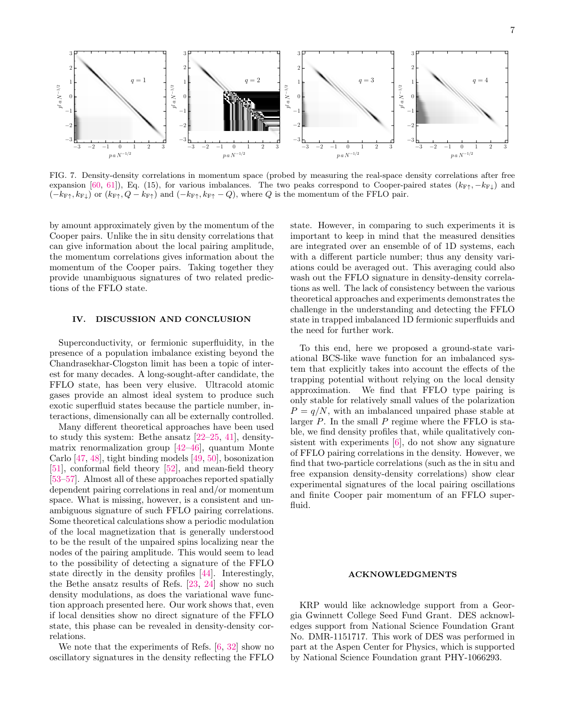

<span id="page-8-1"></span>FIG. 7. Density-density correlations in momentum space (probed by measuring the real-space density correlations after free expansion [\[60,](#page-11-23) [61\]](#page-11-24)), Eq. [\(15\)](#page-7-3), for various imbalances. The two peaks correspond to Cooper-paired states  $(k_{\text{F}\uparrow}, -k_{\text{F}\downarrow})$  and  $(-k_{\text{F}\uparrow}, k_{\text{F}\downarrow})$  or  $(k_{\text{F}\uparrow}, Q - k_{\text{F}\uparrow})$  and  $(-k_{\text{F}\uparrow}, k_{\text{F}\uparrow} - Q)$ , where Q is the momentum of the FFLO pair.

by amount approximately given by the momentum of the Cooper pairs. Unlike the in situ density correlations that can give information about the local pairing amplitude, the momentum correlations gives information about the momentum of the Cooper pairs. Taking together they provide unambiguous signatures of two related predictions of the FFLO state.

#### <span id="page-8-0"></span>IV. DISCUSSION AND CONCLUSION

Superconductivity, or fermionic superfluidity, in the presence of a population imbalance existing beyond the Chandrasekhar-Clogston limit has been a topic of interest for many decades. A long-sought-after candidate, the FFLO state, has been very elusive. Ultracold atomic gases provide an almost ideal system to produce such exotic superfluid states because the particle number, interactions, dimensionally can all be externally controlled.

Many different theoretical approaches have been used to study this system: Bethe ansatz [\[22](#page-11-1)[–25,](#page-11-8) [41\]](#page-11-9), densitymatrix renormalization group [\[42–](#page-11-10)[46\]](#page-11-11), quantum Monte Carlo [\[47,](#page-11-12) [48\]](#page-11-13), tight binding models [\[49,](#page-11-14) [50\]](#page-11-15), bosonization [\[51\]](#page-11-16), conformal field theory [\[52\]](#page-11-17), and mean-field theory [\[53–](#page-11-18)[57\]](#page-11-19). Almost all of these approaches reported spatially dependent pairing correlations in real and/or momentum space. What is missing, however, is a consistent and unambiguous signature of such FFLO pairing correlations. Some theoretical calculations show a periodic modulation of the local magnetization that is generally understood to be the result of the unpaired spins localizing near the nodes of the pairing amplitude. This would seem to lead to the possibility of detecting a signature of the FFLO state directly in the density profiles [\[44\]](#page-11-26). Interestingly, the Bethe ansatz results of Refs. [\[23,](#page-11-2) [24\]](#page-11-27) show no such density modulations, as does the variational wave function approach presented here. Our work shows that, even if local densities show no direct signature of the FFLO state, this phase can be revealed in density-density correlations.

We note that the experiments of Refs. [\[6,](#page-10-5) [32\]](#page-11-5) show no oscillatory signatures in the density reflecting the FFLO

state. However, in comparing to such experiments it is important to keep in mind that the measured densities are integrated over an ensemble of of 1D systems, each with a different particle number; thus any density variations could be averaged out. This averaging could also wash out the FFLO signature in density-density correlations as well. The lack of consistency between the various theoretical approaches and experiments demonstrates the challenge in the understanding and detecting the FFLO state in trapped imbalanced 1D fermionic superfluids and the need for further work.

To this end, here we proposed a ground-state variational BCS-like wave function for an imbalanced system that explicitly takes into account the effects of the trapping potential without relying on the local density approximation. We find that FFLO type pairing is only stable for relatively small values of the polarization  $P = q/N$ , with an imbalanced unpaired phase stable at larger  $P$ . In the small  $P$  regime where the FFLO is stable, we find density profiles that, while qualitatively consistent with experiments [\[6\]](#page-10-5), do not show any signature of FFLO pairing correlations in the density. However, we find that two-particle correlations (such as the in situ and free expansion density-density correlations) show clear experimental signatures of the local pairing oscillations and finite Cooper pair momentum of an FFLO superfluid.

#### ACKNOWLEDGMENTS

KRP would like acknowledge support from a Georgia Gwinnett College Seed Fund Grant. DES acknowledges support from National Science Foundation Grant No. DMR-1151717. This work of DES was performed in part at the Aspen Center for Physics, which is supported by National Science Foundation grant PHY-1066293.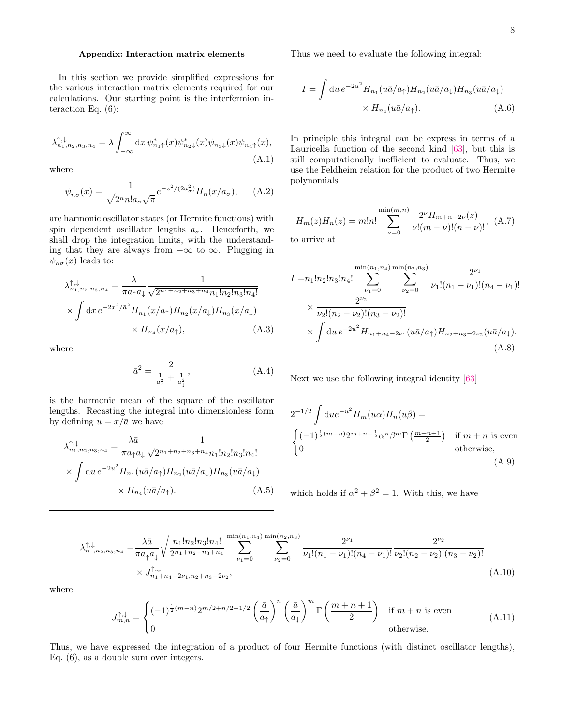#### Appendix: Interaction matrix elements

In this section we provide simplified expressions for the various interaction matrix elements required for our calculations. Our starting point is the interfermion interaction Eq. [\(6\)](#page-4-1):

$$
\lambda^{\uparrow,\downarrow}_{n_1,n_2,n_3,n_4} = \lambda \int_{-\infty}^{\infty} \mathrm{d}x \, \psi^*_{n_1\uparrow}(x) \psi^*_{n_2\downarrow}(x) \psi_{n_3\downarrow}(x) \psi_{n_4\uparrow}(x), \tag{A.1}
$$

where

$$
\psi_{n\sigma}(x) = \frac{1}{\sqrt{2^n n! a_{\sigma}\sqrt{\pi}}} e^{-z^2/(2a_{\sigma}^2)} H_n(x/a_{\sigma}), \quad (A.2)
$$

are harmonic oscillator states (or Hermite functions) with spin dependent oscillator lengths  $a_{\sigma}$ . Henceforth, we shall drop the integration limits, with the understanding that they are always from  $-\infty$  to  $\infty$ . Plugging in  $\psi_{n\sigma}(x)$  leads to:

$$
\lambda_{n_1, n_2, n_3, n_4}^{\uparrow, \downarrow} = \frac{\lambda}{\pi a_\uparrow a_\downarrow} \frac{1}{\sqrt{2^{n_1 + n_2 + n_3 + n_4} n_1! n_2! n_3! n_4!}}\n\times \int dx \, e^{-2x^2/a^2} H_{n_1}(x/a_\uparrow) H_{n_2}(x/a_\downarrow) H_{n_3}(x/a_\downarrow)\n\times H_{n_4}(x/a_\uparrow),
$$
\n(A.3)

where

$$
\bar{a}^2 = \frac{2}{\frac{1}{a_1^2} + \frac{1}{a_1^2}},\tag{A.4}
$$

is the harmonic mean of the square of the oscillator lengths. Recasting the integral into dimensionless form by defining  $u = x/\bar{a}$  we have

$$
\lambda_{n_1, n_2, n_3, n_4}^{\uparrow, \downarrow} = \frac{\lambda \bar{a}}{\pi a_{\uparrow} a_{\downarrow}} \frac{1}{\sqrt{2^{n_1 + n_2 + n_3 + n_4} n_1! n_2! n_3! n_4!}} \times \int du \, e^{-2u^2} H_{n_1}(u \bar{a}/a_{\uparrow}) H_{n_2}(u \bar{a}/a_{\downarrow}) H_{n_3}(u \bar{a}/a_{\downarrow}) \times H_{n_4}(u \bar{a}/a_{\uparrow}). \tag{A.5}
$$

Thus we need to evaluate the following integral:

$$
I = \int du e^{-2u^2} H_{n_1}(u\bar{a}/a_\uparrow) H_{n_2}(u\bar{a}/a_\downarrow) H_{n_3}(u\bar{a}/a_\downarrow)
$$

$$
\times H_{n_4}(u\bar{a}/a_\uparrow). \tag{A.6}
$$

In principle this integral can be express in terms of a Lauricella function of the second kind [\[63\]](#page-11-28), but this is still computationally inefficient to evaluate. Thus, we use the Feldheim relation for the product of two Hermite polynomials

$$
H_m(z)H_n(z) = m!n! \sum_{\nu=0}^{\min(m,n)} \frac{2^{\nu} H_{m+n-2\nu}(z)}{\nu!(m-\nu)!(n-\nu)!}, \quad (A.7)
$$
to arrive at

$$
I = n_1! n_2! n_3! n_4! \sum_{\nu_1=0}^{\min(n_1, n_4)} \sum_{\nu_2=0}^{\min(n_2, n_3)} \frac{2^{\nu_1}}{\nu_1! (n_1 - \nu_1)! (n_4 - \nu_1)!}
$$
  
 
$$
\times \frac{2^{\nu_2}}{\nu_2! (n_2 - \nu_2)! (n_3 - \nu_2)!}
$$
  
 
$$
\times \int du \, e^{-2u^2} H_{n_1 + n_4 - 2\nu_1} (u\bar{a}/a_{\uparrow}) H_{n_2 + n_3 - 2\nu_2} (u\bar{a}/a_{\downarrow}).
$$
  
(A.8)

Next we use the following integral identity [\[63\]](#page-11-28)

$$
2^{-1/2} \int \mathrm{d}u e^{-u^2} H_m(u\alpha) H_n(u\beta) =
$$
  

$$
\begin{cases} (-1)^{\frac{1}{2}(m-n)} 2^{m+n-\frac{1}{2}} \alpha^n \beta^m \Gamma\left(\frac{m+n+1}{2}\right) & \text{if } m+n \text{ is even} \\ 0 & \text{otherwise,} \end{cases}
$$
  
(A.9)

<span id="page-9-0"></span>which holds if  $\alpha^2 + \beta^2 = 1$ . With this, we have

$$
\lambda_{n_1, n_2, n_3, n_4}^{\uparrow, \downarrow} = \frac{\lambda \bar{a}}{\pi a_{\uparrow} a_{\downarrow}} \sqrt{\frac{n_1! n_2! n_3! n_4!}{2^{n_1 + n_2 + n_3 + n_4}}} \sum_{\nu_1 = 0}^{\min(n_1, n_4)} \sum_{\nu_2 = 0}^{\min(n_2, n_3)} \frac{2^{\nu_1}}{\nu_1! (n_1 - \nu_1)! (n_4 - \nu_1)!} \frac{2^{\nu_2}}{\nu_2! (n_2 - \nu_2)! (n_3 - \nu_2)!} \times J_{n_1 + n_4 - 2\nu_1, n_2 + n_3 - 2\nu_2}^{\uparrow, \downarrow}, \tag{A.10}
$$

where

$$
J_{m,n}^{\uparrow,\downarrow} = \begin{cases} (-1)^{\frac{1}{2}(m-n)} 2^{m/2+n/2-1/2} \left(\frac{\bar{a}}{a_{\uparrow}}\right)^n \left(\frac{\bar{a}}{a_{\downarrow}}\right)^m \Gamma\left(\frac{m+n+1}{2}\right) & \text{if } m+n \text{ is even} \\ 0 & \text{otherwise.} \end{cases}
$$
(A.11)

Thus, we have expressed the integration of a product of four Hermite functions (with distinct oscillator lengths), Eq. [\(6\)](#page-4-1), as a double sum over integers.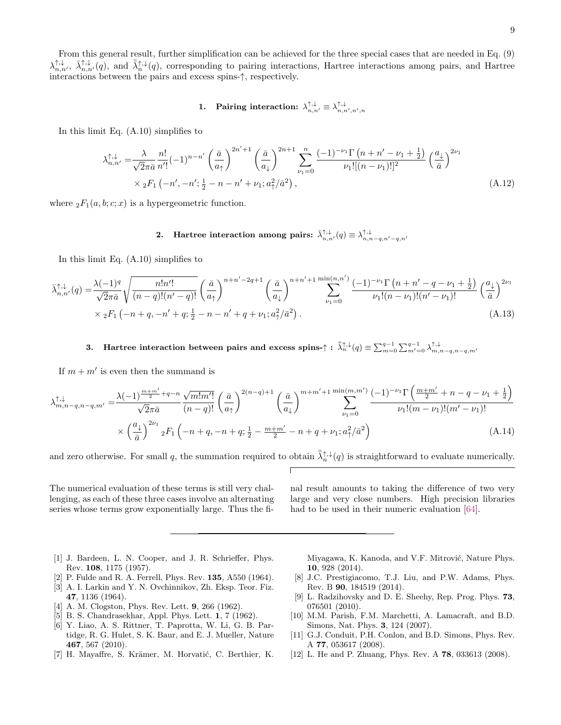## 1. Pairing interaction:  $\lambda_{n,n'}^{\uparrow,\downarrow} \equiv \lambda_{n,n',n',n}^{\uparrow,\downarrow}$

In this limit Eq. [\(A.10\)](#page-9-0) simplifies to

$$
\lambda_{n,n'}^{\uparrow,\downarrow} = \frac{\lambda}{\sqrt{2}\pi\bar{a}} \frac{n!}{n'!} (-1)^{n-n'} \left(\frac{\bar{a}}{a_{\uparrow}}\right)^{2n'+1} \left(\frac{\bar{a}}{a_{\downarrow}}\right)^{2n+1} \sum_{\nu_1=0}^n \frac{(-1)^{-\nu_1} \Gamma\left(n+n'-\nu_1+\frac{1}{2}\right)}{\nu_1![(n-\nu_1)!]^2} \left(\frac{a_{\downarrow}}{\bar{a}}\right)^{2\nu_1} \times {}_2F_1\left(-n',-n';\frac{1}{2}-n-n'+\nu_1; a_{\uparrow}^2/\bar{a}^2\right),\tag{A.12}
$$

where  ${}_2F_1(a, b; c; x)$  is a hypergeometric function.

2. Hartree interaction among pairs:  $\bar{\lambda}_{n,n'}^{\uparrow,\downarrow}(q) \equiv \lambda_{n,n-q,n'-q,n'}^{\uparrow,\downarrow}$ 

In this limit Eq. [\(A.10\)](#page-9-0) simplifies to

$$
\bar{\lambda}_{n,n'}^{\uparrow,\downarrow}(q) = \frac{\lambda(-1)^q}{\sqrt{2}\pi\bar{a}} \sqrt{\frac{n!n'!}{(n-q)!(n'-q)!}} \left(\frac{\bar{a}}{a_{\uparrow}}\right)^{n+n'-2q+1} \left(\frac{\bar{a}}{a_{\downarrow}}\right)^{n+n'+1} \sum_{\nu_1=0}^{\min(n,n')} \frac{(-1)^{-\nu_1}\Gamma(n+n'-q-\nu_1+\frac{1}{2})}{\nu_1!(n-\nu_1)!(n'-\nu_1)!} \left(\frac{a_{\downarrow}}{\bar{a}}\right)^{2\nu_1} \times {}_2F_1\left(-n+q,-n'+q;\frac{1}{2}-n-n'+q+\nu_1; a_{\uparrow}^2/\bar{a}^2\right). \tag{A.13}
$$

3. Hartree interaction between pairs and excess spins- $\uparrow : \bar{\lambda}_{n}^{\uparrow,\downarrow}(q) \equiv \sum_{m=0}^{q-1} \sum_{m'=0}^{q-1} \lambda_{m,n-q,n-q,m'}^{\uparrow,\downarrow}$ 

If  $m + m'$  is even then the summand is

$$
\lambda_{m,n-q,n-q,m'}^{\uparrow,\downarrow} = \frac{\lambda(-1)^{\frac{m+m'}{2}+q-n}}{\sqrt{2\pi a}} \frac{\sqrt{m!m'!}}{(n-q)!} \left(\frac{\bar{a}}{a_{\uparrow}}\right)^{2(n-q)+1} \left(\frac{\bar{a}}{a_{\downarrow}}\right)^{m+m'+1} \sum_{\nu_1=0}^{\min(m,m')} \frac{(-1)^{-\nu_1} \Gamma\left(\frac{m+m'}{2}+n-q-\nu_1+\frac{1}{2}\right)}{\nu_1!(m-\nu_1)!(m'-\nu_1)!} \times \left(\frac{a_{\downarrow}}{\bar{a}}\right)^{2\nu_1} {}_2F_1\left(-n+q,-n+q;\frac{1}{2}-\frac{m+m'}{2}-n+q+\nu_1; a_{\uparrow}^2/\bar{a}^2\right) \tag{A.14}
$$

and zero otherwise. For small q, the summation required to obtain  $\bar{\lambda}_n^{\uparrow,\downarrow}(q)$  is straightforward to evaluate numerically.

The numerical evaluation of these terms is still very challenging, as each of these three cases involve an alternating series whose terms grow exponentially large. Thus the final result amounts to taking the difference of two very large and very close numbers. High precision libraries had to be used in their numeric evaluation [\[64\]](#page-11-29).

- <span id="page-10-0"></span>[1] J. Bardeen, L. N. Cooper, and J. R. Schrieffer, Phys. Rev. 108, 1175 (1957).
- <span id="page-10-1"></span>[2] P. Fulde and R. A. Ferrell, Phys. Rev. 135, A550 (1964).
- <span id="page-10-2"></span>[3] A. I. Larkin and Y. N. Ovchinnikov, Zh. Eksp. Teor. Fiz. 47, 1136 (1964).
- <span id="page-10-3"></span>[4] A. M. Clogston, Phys. Rev. Lett. **9**, 266 (1962).
- <span id="page-10-4"></span>[5] B. S. Chandrasekhar, Appl. Phys. Lett. 1, 7 (1962).
- <span id="page-10-5"></span>[6] Y. Liao, A. S. Rittner, T. Paprotta, W. Li, G. B. Partidge, R. G. Hulet, S. K. Baur, and E. J. Mueller, Nature 467, 567 (2010).
- <span id="page-10-6"></span>[7] H. Mayaffre, S. Krämer, M. Horvatić, C. Berthier, K.

Miyagawa, K. Kanoda, and V.F. Mitrović, Nature Phys. 10, 928 (2014).

- <span id="page-10-7"></span>[8] J.C. Prestigiacomo, T.J. Liu, and P.W. Adams, Phys. Rev. B 90, 184519 (2014).
- <span id="page-10-8"></span>[9] L. Radzihovsky and D. E. Sheehy, Rep. Prog. Phys. 73, 076501 (2010).
- <span id="page-10-9"></span>[10] M.M. Parish, F.M. Marchetti, A. Lamacraft, and B.D. Simons, Nat. Phys. 3, 124 (2007).
- <span id="page-10-10"></span>[11] G.J. Conduit, P.H. Conlon, and B.D. Simons, Phys. Rev. A 77, 053617 (2008).
- [12] L. He and P. Zhuang, Phys. Rev. A 78, 033613 (2008).